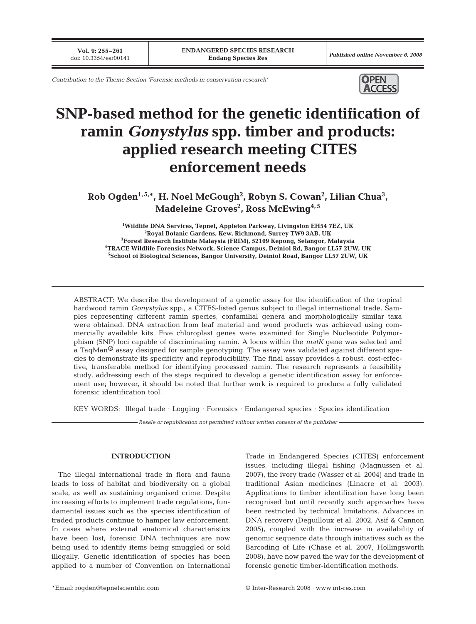**Vol. 9: 255–261**<br>doi: 10.3354/esr00141

*Contribution to the Theme Section 'Forensic methods in conservation research'*



# **SNP-based method for the genetic identification of ramin** *Gonystylus* **spp. timber and products: applied research meeting CITES enforcement needs**

**Rob Ogden1, 5,\*, H. Noel McGough2 , Robyn S. Cowan2 , Lilian Chua3 , Madeleine Groves2 , Ross McEwing4, 5**

 **Wildlife DNA Services, Tepnel, Appleton Parkway, Livingston EH54 7EZ, UK Royal Botanic Gardens, Kew, Richmond, Surrey TW9 3AB, UK Forest Research Institute Malaysia (FRIM), 52109 Kepong, Selangor, Malaysia 4TRACE Wildlife Forensics Network, Science Campus, Deiniol Rd, Bangor LL57 2UW, UK School of Biological Sciences, Bangor University, Deiniol Road, Bangor LL57 2UW, UK**

ABSTRACT: We describe the development of a genetic assay for the identification of the tropical hardwood ramin *Gonystylus* spp., a CITES-listed genus subject to illegal international trade. Samples representing different ramin species, confamilial genera and morphologically similar taxa were obtained. DNA extraction from leaf material and wood products was achieved using commercially available kits. Five chloroplast genes were examined for Single Nucleotide Polymorphism (SNP) loci capable of discriminating ramin. A locus within the *matK* gene was selected and a TaqMan® assay designed for sample genotyping. The assay was validated against different species to demonstrate its specificity and reproducibility. The final assay provides a robust, cost-effective, transferable method for identifying processed ramin. The research represents a feasibility study, addressing each of the steps required to develop a genetic identification assay for enforcement use; however, it should be noted that further work is required to produce a fully validated forensic identification tool.

KEY WORDS: Illegal trade · Logging · Forensics · Endangered species · Species identification

*Resale or republication not permitted without written consent of the publisher*

#### **INTRODUCTION**

The illegal international trade in flora and fauna leads to loss of habitat and biodiversity on a global scale, as well as sustaining organised crime. Despite increasing efforts to implement trade regulations, fundamental issues such as the species identification of traded products continue to hamper law enforcement. In cases where external anatomical characteristics have been lost, forensic DNA techniques are now being used to identify items being smuggled or sold illegally. Genetic identification of species has been applied to a number of Convention on International Trade in Endangered Species (CITES) enforcement issues, including illegal fishing (Magnussen et al. 2007), the ivory trade (Wasser et al. 2004) and trade in traditional Asian medicines (Linacre et al. 2003). Applications to timber identification have long been recognised but until recently such approaches have been restricted by technical limitations. Advances in DNA recovery (Deguilloux et al. 2002, Asif & Cannon 2005), coupled with the increase in availability of genomic sequence data through initiatives such as the Barcoding of Life (Chase et al. 2007, Hollingsworth 2008), have now paved the way for the development of forensic genetic timber-identification methods.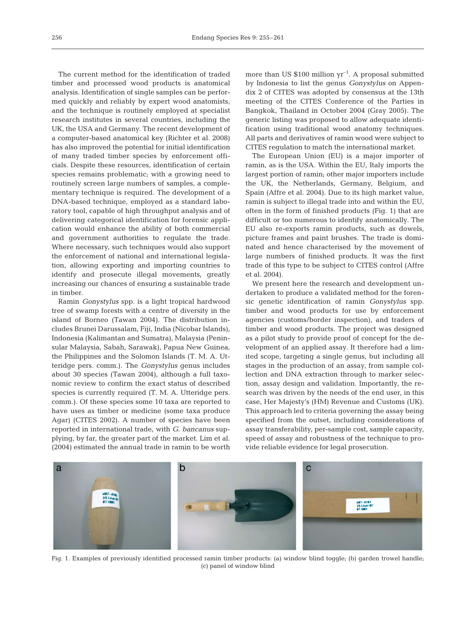The current method for the identification of traded timber and processed wood products is anatomical analysis. Identification of single samples can be performed quickly and reliably by expert wood anatomists, and the technique is routinely employed at specialist research institutes in several countries, including the UK, the USA and Germany. The recent development of a computer-based anatomical key (Richter et al. 2008) has also improved the potential for initial identification of many traded timber species by enforcement officials. Despite these resources, identification of certain species remains problematic; with a growing need to routinely screen large numbers of samples, a complementary technique is required. The development of a DNA-based technique, employed as a standard laboratory tool, capable of high throughput analysis and of delivering categorical identification for forensic application would enhance the ability of both commercial and government authorities to regulate the trade. Where necessary, such techniques would also support the enforcement of national and international legislation, allowing exporting and importing countries to identify and prosecute illegal movements, greatly increasing our chances of ensuring a sustainable trade in timber.

Ramin *Gonystylus* spp. is a light tropical hardwood tree of swamp forests with a centre of diversity in the island of Borneo (Tawan 2004). The distribution includes Brunei Darussalam, Fiji, India (Nicobar Islands), Indonesia (Kalimantan and Sumatra), Malaysia (Peninsular Malaysia, Sabah, Sarawak), Papua New Guinea, the Philippines and the Solomon Islands (T. M. A. Utteridge pers. comm.). The *Gonystylus* genus includes about 30 species (Tawan 2004), although a full taxonomic review to confirm the exact status of described species is currently required (T. M. A. Utteridge pers. comm.). Of these species some 10 taxa are reported to have uses as timber or medicine (some taxa produce Agar) (CITES 2002). A number of species have been reported in international trade, with *G. bancanus* supplying, by far, the greater part of the market. Lim et al. (2004) estimated the annual trade in ramin to be worth more than US  $$100$  million  $yr^{-1}$ . A proposal submitted by Indonesia to list the genus *Gonystylus* on Appendix 2 of CITES was adopted by consensus at the 13th meeting of the CITES Conference of the Parties in Bangkok, Thailand in October 2004 (Gray 2005). The generic listing was proposed to allow adequate identification using traditional wood anatomy techniques. All parts and derivatives of ramin wood were subject to CITES regulation to match the international market.

The European Union (EU) is a major importer of ramin, as is the USA. Within the EU, Italy imports the largest portion of ramin; other major importers include the UK, the Netherlands, Germany, Belgium, and Spain (Affre et al. 2004). Due to its high market value, ramin is subject to illegal trade into and within the EU, often in the form of finished products (Fig. 1) that are difficult or too numerous to identify anatomically. The EU also re-exports ramin products, such as dowels, picture frames and paint brushes. The trade is dominated and hence characterised by the movement of large numbers of finished products. It was the first trade of this type to be subject to CITES control (Affre et al. 2004).

We present here the research and development undertaken to produce a validated method for the forensic genetic identification of ramin *Gonystylus* spp. timber and wood products for use by enforcement agencies (customs/border inspection), and traders of timber and wood products. The project was designed as a pilot study to provide proof of concept for the development of an applied assay. It therefore had a limited scope, targeting a single genus, but including all stages in the production of an assay, from sample collection and DNA extraction through to marker selection, assay design and validation. Importantly, the research was driven by the needs of the end user, in this case, Her Majesty's (HM) Revenue and Customs (UK). This approach led to criteria governing the assay being specified from the outset, including considerations of assay transferability, per-sample cost, sample capacity, speed of assay and robustness of the technique to provide reliable evidence for legal prosecution.



Fig. 1. Examples of previously identified processed ramin timber products: (a) window blind toggle; (b) garden trowel handle; (c) panel of window blind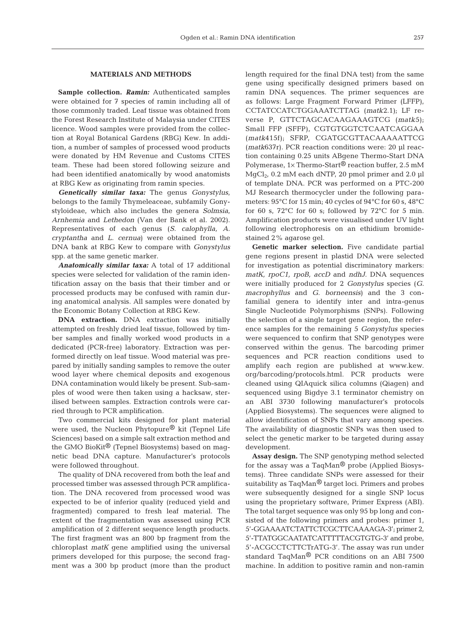## **MATERIALS AND METHODS**

**Sample collection.** *Ramin:* Authenticated samples were obtained for 7 species of ramin including all of those commonly traded. Leaf tissue was obtained from the Forest Research Institute of Malaysia under CITES licence. Wood samples were provided from the collection at Royal Botanical Gardens (RBG) Kew. In addition, a number of samples of processed wood products were donated by HM Revenue and Customs CITES team. These had been stored following seizure and had been identified anatomically by wood anatomists at RBG Kew as originating from ramin species.

*Genetically similar taxa:* The genus *Gonystylus*, belongs to the family Thymeleaceae, subfamily Gonystyloideae, which also includes the genera *Solmsia*, *Arnhemia* and *Lethedon* (Van der Bank et al. 2002). Representatives of each genus (*S. calophylla, A. cryptantha* and *L. cernua*) were obtained from the DNA bank at RBG Kew to compare with *Gonystylus* spp. at the same genetic marker.

*Anatomically similar taxa:* A total of 17 additional species were selected for validation of the ramin identification assay on the basis that their timber and or processed products may be confused with ramin during anatomical analysis. All samples were donated by the Economic Botany Collection at RBG Kew.

**DNA extraction.** DNA extraction was initially attempted on freshly dried leaf tissue, followed by timber samples and finally worked wood products in a dedicated (PCR-free) laboratory. Extraction was performed directly on leaf tissue. Wood material was prepared by initially sanding samples to remove the outer wood layer where chemical deposits and exogenous DNA contamination would likely be present. Sub-samples of wood were then taken using a hacksaw, sterilised between samples. Extraction controls were carried through to PCR amplification.

Two commercial kits designed for plant material were used, the Nucleon Phytopure® kit (Tepnel Life Sciences) based on a simple salt extraction method and the GMO BioKit® (Tepnel Biosystems) based on magnetic bead DNA capture. Manufacturer's protocols were followed throughout.

The quality of DNA recovered from both the leaf and processed timber was assessed through PCR amplification. The DNA recovered from processed wood was expected to be of inferior quality (reduced yield and fragmented) compared to fresh leaf material. The extent of the fragmentation was assessed using PCR amplification of 2 different sequence length products. The first fragment was an 800 bp fragment from the chloroplast *matK* gene amplified using the universal primers developed for this purpose; the second fragment was a 300 bp product (more than the product

length required for the final DNA test) from the same gene using specifically designed primers based on ramin DNA sequences. The primer sequences are as follows: Large Fragment Forward Primer (LFFP), CCTATCCATCTGGAAATCTTAG (*matk*2.1); LF reverse P, GTTCTAGCACAAGAAAGTCG (*matk*5); Small FFP (SFFP), CGTGTGGTCTCAATCAGGAA (*matk*415f); SFRP, CGATGCGTTACAAAAATTCG (*matk*637r). PCR reaction conditions were: 20 µl reaction containing 0.25 units ABgene Thermo-Start DNA Polymerase,  $1 \times$  Thermo-Start<sup>®</sup> reaction buffer, 2.5 mM  $MgCl<sub>2</sub>$ , 0.2 mM each dNTP, 20 pmol primer and 2.0 µl of template DNA. PCR was performed on a PTC-200 MJ Research thermocycler under the following parameters: 95°C for 15 min; 40 cycles of 94°C for 60 s, 48°C for 60 s,  $72^{\circ}$ C for 60 s; followed by  $72^{\circ}$ C for 5 min. Amplification products were visualised under UV light following electrophoresis on an ethidium bromidestained 2% agarose gel.

**Genetic marker selection.** Five candidate partial gene regions present in plastid DNA were selected for investigation as potential discriminatory markers: *matK, rpoC1, rpoB, accD* and *ndhJ*. DNA sequences were initially produced for 2 *Gonystylus* species (*G. macrophyllus* and *G. borneensis*) and the 3 confamilial genera to identify inter and intra-genus Single Nucleotide Polymorphisms (SNPs). Following the selection of a single target gene region, the reference samples for the remaining 5 *Gonystylus* species were sequenced to confirm that SNP genotypes were conserved within the genus. The barcoding primer sequences and PCR reaction conditions used to amplify each region are published at www.kew. org/barcoding/protocols.html. PCR products were cleaned using QIAquick silica columns (Qiagen) and sequenced using Bigdye 3.1 terminator chemistry on an ABI 3730 following manufacturer's protocols (Applied Biosystems). The sequences were aligned to allow identification of SNPs that vary among species. The availability of diagnostic SNPs was then used to select the genetic marker to be targeted during assay development.

**Assay design.** The SNP genotyping method selected for the assay was a TaqMan® probe (Applied Biosystems). Three candidate SNPs were assessed for their suitability as TaqMan® target loci. Primers and probes were subsequently designed for a single SNP locus using the proprietary software, Primer Express (ABI). The total target sequence was only 95 bp long and consisted of the following primers and probes: primer 1, 5'-GGAAAATCTATTCTCGCTTCAAAAGA-3'; primer 2, 5'-TTATGGCAATATCATTTTTACGTGTG-3' and probe, 5'-ACGCCTCTTCTrATG-3'. The assay was run under standard TaqMan® PCR conditions on an ABI 7500 machine. In addition to positive ramin and non-ramin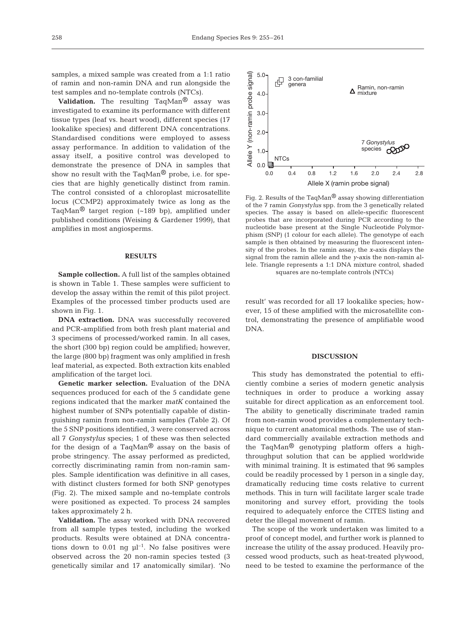samples, a mixed sample was created from a 1:1 ratio of ramin and non-ramin DNA and run alongside the test samples and no-template controls (NTCs).

**Validation.** The resulting TaqMan® assay was investigated to examine its performance with different tissue types (leaf vs. heart wood), different species (17 lookalike species) and different DNA concentrations. Standardised conditions were employed to assess assay performance. In addition to validation of the assay itself, a positive control was developed to demonstrate the presence of DNA in samples that show no result with the TaqMan® probe, i.e. for species that are highly genetically distinct from ramin. The control consisted of a chloroplast microsatellite locus (CCMP2) approximately twice as long as the TaqMan<sup>®</sup> target region  $(-189$  bp), amplified under published conditions (Weising & Gardener 1999), that amplifies in most angiosperms.

## **RESULTS**

**Sample collection.** A full list of the samples obtained is shown in Table 1. These samples were sufficient to develop the assay within the remit of this pilot project. Examples of the processed timber products used are shown in Fig. 1.

**DNA extraction.** DNA was successfully recovered and PCR-amplified from both fresh plant material and 3 specimens of processed/worked ramin. In all cases, the short (300 bp) region could be amplified; however, the large (800 bp) fragment was only amplified in fresh leaf material, as expected. Both extraction kits enabled amplification of the target loci.

**Genetic marker selection.** Evaluation of the DNA sequences produced for each of the 5 candidate gene regions indicated that the marker *matK* contained the highest number of SNPs potentially capable of distinguishing ramin from non-ramin samples (Table 2). Of the 5 SNP positions identified, 3 were conserved across all 7 *Gonystylus* species; 1 of these was then selected for the design of a TaqMan® assay on the basis of probe stringency. The assay performed as predicted, correctly discriminating ramin from non-ramin samples. Sample identification was definitive in all cases, with distinct clusters formed for both SNP genotypes (Fig. 2). The mixed sample and no-template controls were positioned as expected. To process 24 samples takes approximately 2 h.

**Validation.** The assay worked with DNA recovered from all sample types tested, including the worked products. Results were obtained at DNA concentrations down to 0.01 ng  $\mu$ <sup>-1</sup>. No false positives were observed across the 20 non-ramin species tested (3 genetically similar and 17 anatomically similar). 'No



Fig. 2. Results of the TaqMan® assay showing differentiation of the 7 ramin *Gonystylus* spp. from the 3 genetically related species. The assay is based on allele-specific fluorescent probes that are incorporated during PCR according to the nucleotide base present at the Single Nucleotide Polymorphism (SNP) (1 colour for each allele). The genotype of each sample is then obtained by measuring the fluorescent intensity of the probes. In the ramin assay, the *x*-axis displays the signal from the ramin allele and the *y*-axis the non-ramin allele. Triangle represents a 1:1 DNA mixture control, shaded squares are no-template controls (NTCs)

result' was recorded for all 17 lookalike species; however, 15 of these amplified with the microsatellite control, demonstrating the presence of amplifiable wood DNA.

#### **DISCUSSION**

This study has demonstrated the potential to efficiently combine a series of modern genetic analysis techniques in order to produce a working assay suitable for direct application as an enforcement tool. The ability to genetically discriminate traded ramin from non-ramin wood provides a complementary technique to current anatomical methods. The use of standard commercially available extraction methods and the TaqMan® genotyping platform offers a highthroughput solution that can be applied worldwide with minimal training. It is estimated that 96 samples could be readily processed by 1 person in a single day, dramatically reducing time costs relative to current methods. This in turn will facilitate larger scale trade monitoring and survey effort, providing the tools required to adequately enforce the CITES listing and deter the illegal movement of ramin.

The scope of the work undertaken was limited to a proof of concept model, and further work is planned to increase the utility of the assay produced. Heavily processed wood products, such as heat-treated plywood, need to be tested to examine the performance of the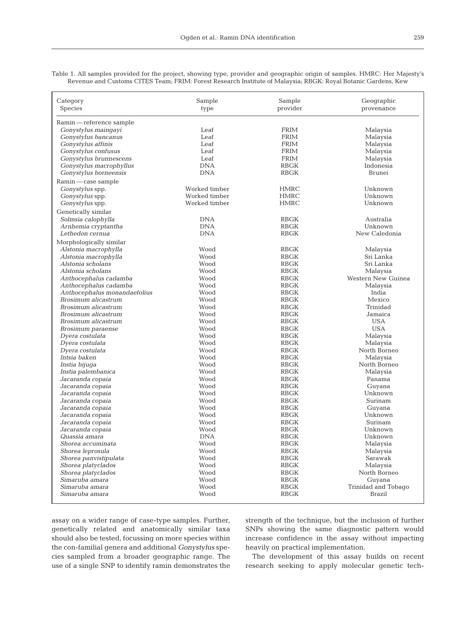| Category                     | Sample        | Sample      | Geographic          |
|------------------------------|---------------|-------------|---------------------|
| Species                      | type          | provider    | provenance          |
| Ramin — reference sample     |               |             |                     |
| Gonystylus maingayi          | Leaf          | <b>FRIM</b> | Malaysia            |
| Gonystylus bancanus          | Leaf          | <b>FRIM</b> | Malaysia            |
| Gonystylus affinis           | Leaf          | <b>FRIM</b> | Malaysia            |
| Gonystylus confusus          | Leaf          | <b>FRIM</b> | Malaysia            |
| Gonystylus brunnescens       | Leaf          | FRIM        | Malaysia            |
| Gonystylus macrophyllus      | <b>DNA</b>    | <b>RBGK</b> | Indonesia           |
| Gonystylus borneensis        | <b>DNA</b>    | <b>RBGK</b> | Brunei              |
| Ramin — case sample          |               |             |                     |
| Gonystylus spp.              | Worked timber | <b>HMRC</b> | Unknown             |
| Gonystylus spp.              | Worked timber | <b>HMRC</b> | Unknown             |
| Gonystylus spp.              | Worked timber | <b>HMRC</b> | Unknown             |
|                              |               |             |                     |
| Genetically similar          |               |             |                     |
| Solmsia calophylla           | <b>DNA</b>    | RBGK        | Australia           |
| Arnhemia cryptantha          | <b>DNA</b>    | <b>RBGK</b> | Unknown             |
| Lethedon cernua              | <b>DNA</b>    | RBGK        | New Caledonia       |
| Morphologically similar      |               |             |                     |
| Alstonia macrophylla         | Wood          | <b>RBGK</b> | Malaysia            |
| Alstonia macrophylla         | Wood          | <b>RBGK</b> | Sri Lanka           |
| Alstonia scholans            | Wood          | <b>RBGK</b> | Sri Lanka           |
| Alstonia scholans            | Wood          | RBGK        | Malaysia            |
| Anthocephalus cadamba        | Wood          | <b>RBGK</b> | Western New Guinea  |
| Anthocephalus cadamba        | Wood          | <b>RBGK</b> | Malaysia            |
| Anthocephalus monandaefolius | Wood          | <b>RBGK</b> | India               |
| Brosimum alicastrum          | Wood          | <b>RBGK</b> | Mexico              |
| Brosimum alicastrum          | Wood          | <b>RBGK</b> | Trinidad            |
| Brosimum alicastrum          | Wood          | <b>RBGK</b> | Jamaica             |
| Brosimum alicastrum          | Wood          | <b>RBGK</b> | <b>USA</b>          |
| Brosimum paraense            | Wood          | <b>RBGK</b> | <b>USA</b>          |
| Dyera costulata              | Wood          | RBGK        | Malaysia            |
| Dyera costulata              | Wood          | <b>RBGK</b> | Malaysia            |
| Dyera costulata              | Wood          | <b>RBGK</b> | North Borneo        |
| Intsia baken                 | Wood          | <b>RBGK</b> | Malaysia            |
| Instia bijuga                | Wood          | <b>RBGK</b> | North Borneo        |
| Instia palembanica           | Wood          | <b>RBGK</b> | Malaysia            |
| Jacaranda copaia             | Wood          | RBGK        | Panama              |
| Jacaranda copaia             | Wood          | RBGK        | Guyana              |
| Jacaranda copaia             | Wood          | <b>RBGK</b> | Unknown             |
| Jacaranda copaia             | Wood          | RBGK        | Surinam             |
| Jacaranda copaia             | Wood          | RBGK        | Guyana              |
| Jacaranda copaia             | Wood          | <b>RBGK</b> | Unknown             |
| Jacaranda copaia             | Wood          | <b>RBGK</b> | Surinam             |
| Jacaranda copaia             | Wood          | <b>RBGK</b> | Unknown             |
| Quassia amara                | <b>DNA</b>    | <b>RBGK</b> | Unknown             |
| Shorea accuminata            | Wood          | <b>RBGK</b> | Malaysia            |
| Shorea leprosula             | Wood          | <b>RBGK</b> | Malaysia            |
| Shorea panvistipulata        | Wood          | <b>RBGK</b> | Sarawak             |
| Shorea platyclados           | Wood          | <b>RBGK</b> | Malaysia            |
| Shorea platyclados           | Wood          | <b>RBGK</b> | North Borneo        |
| Simaruba amara               | Wood          | <b>RBGK</b> | Guyana              |
| Simaruba amara               | Wood          | <b>RBGK</b> | Trinidad and Tobago |
| Simaruba amara               | Wood          | <b>RBGK</b> | Brazil              |

Table 1. All samples provided for the project, showing type, provider and geographic origin of samples. HMRC: Her Majesty's Revenue and Customs CITES Team; FRIM: Forest Research Institute of Malaysia; RBGK: Royal Botanic Gardens, Kew

assay on a wider range of case-type samples. Further, genetically related and anatomically similar taxa should also be tested, focussing on more species within the con-familial genera and additional *Gonystylus* species sampled from a broader geographic range. The use of a single SNP to identify ramin demonstrates the strength of the technique, but the inclusion of further SNPs showing the same diagnostic pattern would increase confidence in the assay without impacting heavily on practical implementation.

The development of this assay builds on recent research seeking to apply molecular genetic tech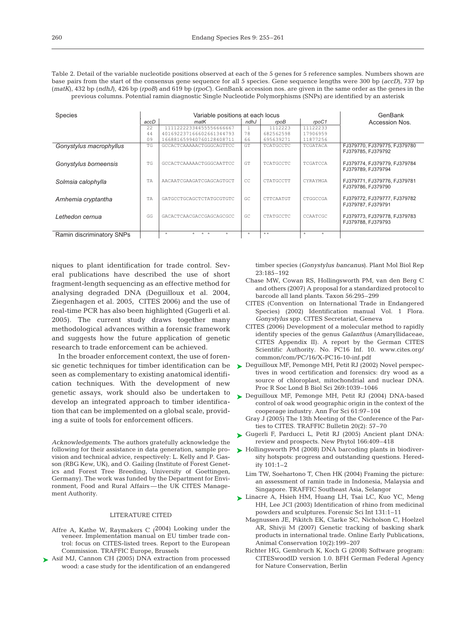Table 2. Detail of the variable nucleotide positions observed at each of the 5 genes for 5 reference samples. Numbers shown are base pairs from the start of the consensus gene sequence for all 5 species. Gene sequence lengths were 300 bp (*accD*), 737 bp (*matK*), 432 bp (*ndhJ*), 426 bp (*rpoB*) and 619 bp (*rpoC*). GenBank accession nos. are given in the same order as the genes in the previous columns. Potential ramin diagnostic Single Nucleotide Polymorphisms (SNPs) are identified by an asterisk

| <b>Species</b>            |           | Variable positions at each locus | GenBank   |                  |                    |                                                    |
|---------------------------|-----------|----------------------------------|-----------|------------------|--------------------|----------------------------------------------------|
|                           | accD      | matK                             | ndhJ      | rpoB             | rpoC1              | Accession Nos.                                     |
|                           | 22        | 11112222334455556666667          |           | 1112223          | 11122233           |                                                    |
|                           | 44        | 401692237166602661344793         | 78        | 682562598        | 17906959           |                                                    |
|                           | 09        | 166881659940760128408711         | 66        | 695639271        | 11877256           |                                                    |
| Gonystylus macrophyllus   | <b>TG</b> | GCCACTCAAAAACTGGGCAGTTCC         | <b>GT</b> | <b>TCATGCCTC</b> | TCGATACA           | FJ379770, FJ379775, FJ379780<br>FJ379785, FJ379792 |
| Gonystylus borneensis     | TG.       | GCCACTCAAAAACTGGGCAATTCC         | <b>GT</b> | <b>TCATGCCTC</b> | TCGATCCA           | FJ379774, FJ379779, FJ379784<br>FJ379789, FJ379794 |
| Solmsia calophylla        | TA        | AACAATCGAAGATCGAGCAGTGCT         | CC.       | CTATGCCTT        | CYRAYMGA           | FJ379771, FJ379776, FJ379781<br>FJ379786, FJ379790 |
| Arnhemia cryptantha       | TA        | GATGCCTGCAGCTCTATGCGTGTC         | GC.       | CTTCAATGT        | CTGGCCGA           | FJ379772, FJ379777, FJ379782<br>FJ379787, FJ379791 |
| Lethedon cernua           | GG        | GACACTCAACGACCGAGCAGCGCC         | GC.       | <b>CTATGCCTC</b> | CCAATCGC           | FJ379773, FJ379778, FJ379783<br>FJ379788, FJ379793 |
| Ramin discriminatory SNPs |           | $*$ $*$<br>$\star$<br>$\star$    | $\star$   | $* *$            | $\star$<br>$\star$ |                                                    |

niques to plant identification for trade control. Several publications have described the use of short fragment-length sequencing as an effective method for analysing degraded DNA (Deguilloux et al. 2004, Ziegenhagen et al. 2005, CITES 2006) and the use of real-time PCR has also been highlighted (Gugerli et al. 2005). The current study draws together many methodological advances within a forensic framework and suggests how the future application of genetic research to trade enforcement can be achieved.

In the broader enforcement context, the use of forensic genetic techniques for timber identification can be seen as complementary to existing anatomical identification techniques. With the development of new genetic assays, work should also be undertaken to develop an integrated approach to timber identification that can be implemented on a global scale, providing a suite of tools for enforcement officers.

*Acknowledgements.* The authors gratefully acknowledge the following for their assistance in data generation, sample provision and technical advice, respectively: L. Kelly and P. Gasson (RBG Kew, UK), and O. Gailing (Institute of Forest Genetics and Forest Tree Breeding, University of Goettingen, Germany). The work was funded by the Department for Environment, Food and Rural Affairs — the UK CITES Management Authority.

### LITERATURE CITED

- Affre A, Kathe W, Raymakers C (2004) Looking under the veneer. Implementation manual on EU timber trade control: focus on CITES-listed trees. Report to the European Commission. TRAFFIC Europe, Brussels
- ▶ Asif MJ, Cannon CH (2005) DNA extraction from processed wood: a case study for the identification of an endangered

timber species (*Gonystylus bancanus*). Plant Mol Biol Rep 23:185–192

- Chase MW, Cowan RS, Hollingsworth PM, van den Berg C and others (2007) A proposal for a standardized protocol to barcode all land plants. Taxon 56:295–299
- CITES (Convention on International Trade in Endangered Species) (2002) Identification manual Vol. 1 Flora. *Gonystylus* spp. CITES Secretariat, Geneva
- CITES (2006) Development of a molecular method to rapidly identify species of the genus *Galanthus* (Amaryllidaceae, CITES Appendix II). A report by the German CITES Scientific Authority*.* No. PC16 Inf. 10. www.cites.org/ common/com/PC/16/X-PC16-10-inf.pdf
- ▶ Deguilloux MF, Pemonge MH, Petit RJ (2002) Novel perspectives in wood certification and forensics: dry wood as a source of chloroplast, mitochondrial and nuclear DNA. Proc R Soc Lond B Biol Sci 269:1039–1046
- ▶ Deguilloux MF, Pemonge MH, Petit RJ (2004) DNA-based control of oak wood geographic origin in the context of the cooperage industry. Ann For Sci 61:97–104
	- Gray J (2005) The 13th Meeting of the Conference of the Parties to CITES. TRAFFIC Bulletin 20(2): 57–70
- Gugerli F, Parducci L, Petit RJ (2005) Ancient plant DNA: ➤ review and prospects. New Phytol 166:409–418
- ► Hollingsworth PM (2008) DNA barcoding plants in biodiversity hotspots: progress and outstanding questions. Heredity 101:1–2
	- Lim TW, Soehartono T, Chen HK (2004) Framing the picture: an assessment of ramin trade in Indonesia, Malaysia and Singapore. TRAFFIC Southeast Asia, Selangor
- ► Linacre A, Hsieh HM, Huang LH, Tsai LC, Kuo YC, Meng HH, Lee JCI (2003) Identification of rhino from medicinal powders and sculptures. Forensic Sci Int 131:1–11
	- Magnussen JE, Pikitch EK, Clarke SC, Nicholson C, Hoelzel AR, Shivji M (2007) Genetic tracking of basking shark products in international trade. Online Early Publications, Animal Conservation 10(2):199–207
	- Richter HG, Gembruch K, Koch G (2008) Software program: CITESwoodID version 1.0. BFH German Federal Agency for Nature Conservation, Berlin